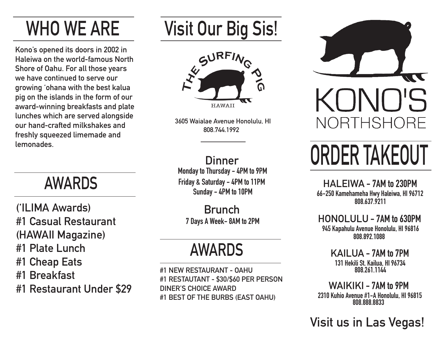## **WHO WE ARE**

**Kono's opened its doors in 2002 in Haleiwa on the world-famous North Shore of Oahu. For all those years we have continued to serve our growing 'ohana with the best kalua pig on the islands in the form of our award-winning breakfasts and plate lunches which are served alongside our hand-crafted milkshakes and freshly squeezed limemade and lemonades.**

**('ILIMA Awards) #1 Casual Restaurant (HAWAII Magazine) #1 Plate Lunch #1 Cheap Eats #1 Breakfast #1 Restaurant Under \$29**

## **Visit Our Big Sis!**



**3605 Waialae Avenue Honolulu, HI 808.744.1992**

**Dinner Monday to Thursday - 4PM to 9PM Friday & Saturday - 4PM to 11PM Sunday - 4PM to 10PM AWARDS**

> **Brunch 7 Days A Week- 8AM to 2PM**

## **AWARDS**

**#1 NEW RESTAURANT - OAHU #1 RESTAUTANT - \$30/\$60 PER PERSON DINER'S CHOICE AWARD #1 BEST OF THE BURBS (EAST OAHU)**



# **ORDER TAKEOUT**

**HALEIWA - 7AM to 230PM 66-250 Kamehameha Hwy Haleiwa, HI 96712 808.637.9211**

**HONOLULU - 7AM to 630PM 945 Kapahulu Avenue Honolulu, HI 96816 808.892.1088**

> **KAILUA - 7AM to 7PM 131 Hekili St. Kailua, HI 96734 808.261.1144**

**WAIKIKI - 7AM to 9PM 2310 Kuhio Avenue #1-A Honolulu, HI 96815 808.888.8833**

**Visit us in Las Vegas!**